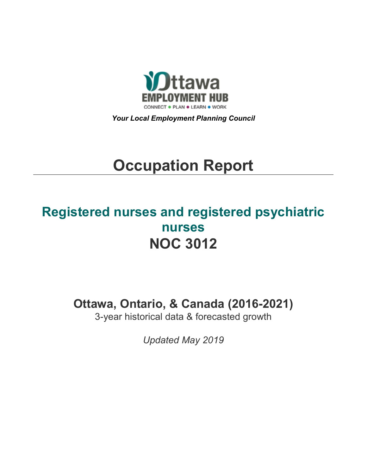

*Your Local Employment Planning Council*

# **Occupation Report**

# **Registered nurses and registered psychiatric nurses NOC 3012**

**Ottawa, Ontario, & Canada (2016-2021)**

3-year historical data & forecasted growth

*Updated May 2019*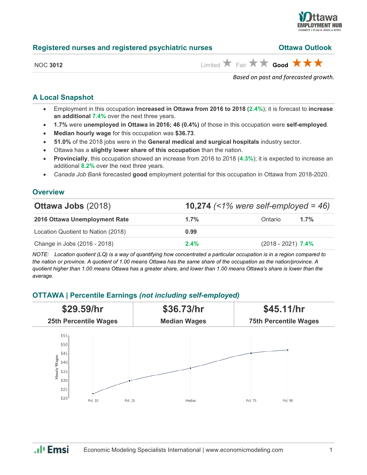

| Registered nurses and registered psychiatric nurses | <b>Ottawa Outlook</b> |
|-----------------------------------------------------|-----------------------|
|                                                     |                       |

NOC 3012 **Limited** Fair **x Good**  $\star$  **s** 

*Based on past and forecasted growth.*

#### **A Local Snapshot**

- Employment in this occupation **increased in Ottawa from 2016 to 2018** (**2.4%**); it is forecast to **increase an additional 7.4%** over the next three years.
- **1.7%** were **unemployed in Ottawa in 2016; 46 (0.4%)** of those in this occupation were **self-employed**.
- **Median hourly wage** for this occupation was **\$36.73**.
- **51.0%** of the 2018 jobs were in the **General medical and surgical hospitals** industry sector.
- Ottawa has a **slightly lower share of this occupation** than the nation.
- **Provincially**, this occupation showed an increase from 2016 to 2018 (**4.3%**); it is expected to increase an additional **8.2%** over the next three years.
- *Canada Job Bank* forecasted **good** employment potential for this occupation in Ottawa from 2018-2020.

#### **Overview**

| <b>Ottawa Jobs (2018)</b>          | <b>10,274</b> (<1% were self-employed = 46) |                      |      |
|------------------------------------|---------------------------------------------|----------------------|------|
| 2016 Ottawa Unemployment Rate      | 1.7%                                        | Ontario              | 1.7% |
| Location Quotient to Nation (2018) | 0.99                                        |                      |      |
| Change in Jobs (2016 - 2018)       | 2.4%                                        | $(2018 - 2021)$ 7.4% |      |

*NOTE: Location quotient (LQ) is a way of quantifying how concentrated a particular occupation is in a region compared to the nation or province. A quotient of 1.00 means Ottawa has the same share of the occupation as the nation/province. A quotient higher than 1.00 means Ottawa has a greater share, and lower than 1.00 means Ottawa's share is lower than the average.*

### **OTTAWA | Percentile Earnings** *(not including self-employed)*

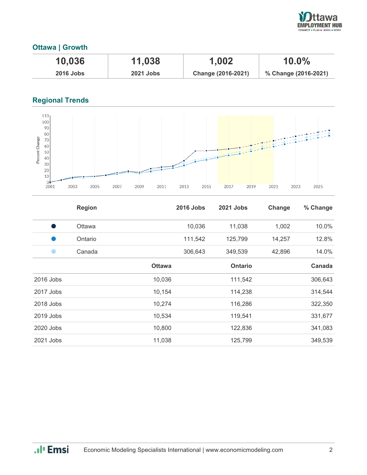

## **Ottawa | Growth**

| 10,036           | 11,038           | 1,002              | $10.0\%$             |
|------------------|------------------|--------------------|----------------------|
| <b>2016 Jobs</b> | <b>2021 Jobs</b> | Change (2016-2021) | % Change (2016-2021) |

# **Regional Trends**



|             | <b>Region</b> |               | <b>2016 Jobs</b> | 2021 Jobs      | Change | % Change |
|-------------|---------------|---------------|------------------|----------------|--------|----------|
| s,          | <b>Ottawa</b> |               | 10,036           | 11,038         | 1,002  | 10.0%    |
|             | Ontario       |               | 111,542          | 125,799        | 14,257 | 12.8%    |
|             | Canada        |               | 306,643          | 349,539        | 42,896 | 14.0%    |
|             |               | <b>Ottawa</b> |                  | <b>Ontario</b> |        | Canada   |
| $2016$ Jobs |               | 10,036        |                  | 111,542        |        | 306,643  |
| 2017 Jobs   |               | 10,154        |                  | 114,238        |        | 314,544  |
| 2018 Jobs   |               | 10,274        |                  | 116,286        |        | 322,350  |
| 2019 Jobs   |               | 10,534        |                  | 119,541        |        | 331,677  |
| 2020 Jobs   |               | 10,800        |                  | 122,836        |        | 341,083  |
| 2021 Jobs   |               | 11,038        |                  | 125,799        |        | 349,539  |

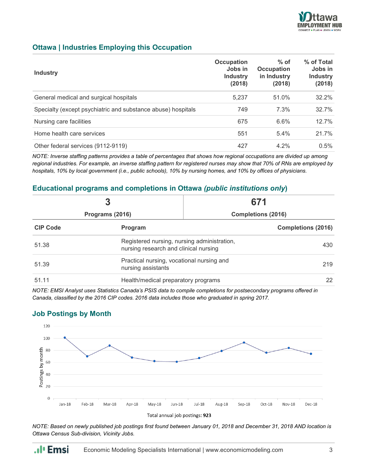

#### **Ottawa | Industries Employing this Occupation**

| <b>Industry</b>                                              | <b>Occupation</b><br>Jobs in<br><b>Industry</b><br>(2018) | $%$ of<br><b>Occupation</b><br>in Industry<br>(2018) | % of Total<br>Jobs in<br><b>Industry</b><br>(2018) |
|--------------------------------------------------------------|-----------------------------------------------------------|------------------------------------------------------|----------------------------------------------------|
| General medical and surgical hospitals                       | 5,237                                                     | 51.0%                                                | 32.2%                                              |
| Specialty (except psychiatric and substance abuse) hospitals | 749                                                       | 7.3%                                                 | 32.7%                                              |
| Nursing care facilities                                      | 675                                                       | 6.6%                                                 | 12.7%                                              |
| Home health care services                                    | 551                                                       | 5.4%                                                 | 21.7%                                              |
| Other federal services (9112-9119)                           | 427                                                       | $4.2\%$                                              | 0.5%                                               |

*NOTE: Inverse staffing patterns provides a table of percentages that shows how regional occupations are divided up among regional industries. For example, an inverse staffing pattern for registered nurses may show that 70% of RNs are employed by hospitals, 10% by local government (i.e., public schools), 10% by nursing homes, and 10% by offices of physicians.*

#### **Educational programs and completions in Ottawa** *(public institutions only***)**

| Programs (2016) |                                                                                      | 671                                       |                           |
|-----------------|--------------------------------------------------------------------------------------|-------------------------------------------|---------------------------|
|                 |                                                                                      |                                           | <b>Completions (2016)</b> |
| <b>CIP Code</b> | Program                                                                              |                                           |                           |
| 51.38           | Registered nursing, nursing administration,<br>nursing research and clinical nursing |                                           | 430                       |
| 51.39           | nursing assistants                                                                   | Practical nursing, vocational nursing and |                           |
| 51.11           | Health/medical preparatory programs                                                  |                                           | 22                        |

*NOTE: EMSI Analyst uses Statistics Canada's PSIS data to compile completions for postsecondary programs offered in Canada, classified by the 2016 CIP codes. 2016 data includes those who graduated in spring 2017.*

### **Job Postings by Month**

.. I<sub>'</sub> Emsi





*NOTE: Based on newly published job postings first found between January 01, 2018 and December 31, 2018 AND location is Ottawa Census Sub-division, Vicinity Jobs.*